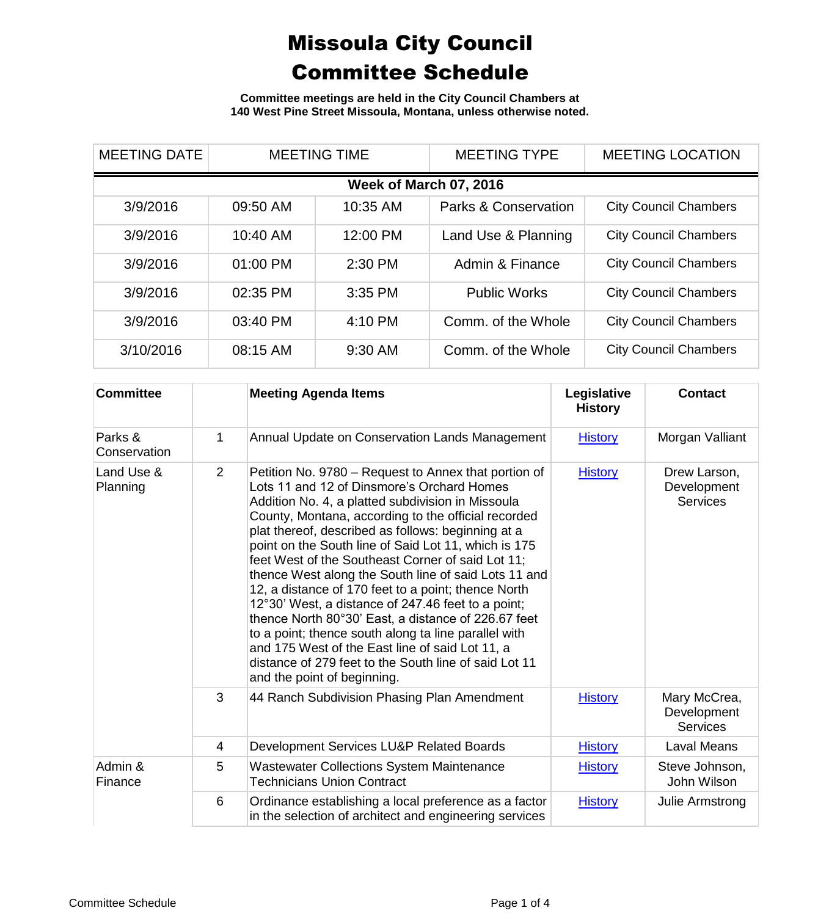**Committee meetings are held in the City Council Chambers at 140 West Pine Street Missoula, Montana, unless otherwise noted.**

| <b>MEETING DATE</b>           | <b>MEETING TIME</b> |          | <b>MEETING TYPE</b>             | <b>MEETING LOCATION</b>      |  |  |  |
|-------------------------------|---------------------|----------|---------------------------------|------------------------------|--|--|--|
| <b>Week of March 07, 2016</b> |                     |          |                                 |                              |  |  |  |
| 3/9/2016                      | 09:50 AM            | 10:35 AM | <b>Parks &amp; Conservation</b> | <b>City Council Chambers</b> |  |  |  |
| 3/9/2016                      | 10:40 AM            | 12:00 PM | Land Use & Planning             | <b>City Council Chambers</b> |  |  |  |
| 3/9/2016                      | 01:00 PM            | 2:30 PM  | Admin & Finance                 | <b>City Council Chambers</b> |  |  |  |
| 3/9/2016                      | 02:35 PM            | 3:35 PM  | <b>Public Works</b>             | <b>City Council Chambers</b> |  |  |  |
| 3/9/2016                      | 03:40 PM            | 4:10 PM  | Comm. of the Whole              | <b>City Council Chambers</b> |  |  |  |
| 3/10/2016                     | 08:15 AM            | 9:30 AM  | Comm. of the Whole              | <b>City Council Chambers</b> |  |  |  |

| <b>Committee</b>        |   | <b>Meeting Agenda Items</b>                                                                                                                                                                                                                                                                                                                                                                                                                                                                                                                                                                                                                                                                                                                                                                                      | Legislative<br><b>History</b> | <b>Contact</b>                                 |
|-------------------------|---|------------------------------------------------------------------------------------------------------------------------------------------------------------------------------------------------------------------------------------------------------------------------------------------------------------------------------------------------------------------------------------------------------------------------------------------------------------------------------------------------------------------------------------------------------------------------------------------------------------------------------------------------------------------------------------------------------------------------------------------------------------------------------------------------------------------|-------------------------------|------------------------------------------------|
| Parks &<br>Conservation | 1 | Annual Update on Conservation Lands Management                                                                                                                                                                                                                                                                                                                                                                                                                                                                                                                                                                                                                                                                                                                                                                   | <b>History</b>                | Morgan Valliant                                |
| Land Use &<br>Planning  | 2 | Petition No. 9780 – Request to Annex that portion of<br>Lots 11 and 12 of Dinsmore's Orchard Homes<br>Addition No. 4, a platted subdivision in Missoula<br>County, Montana, according to the official recorded<br>plat thereof, described as follows: beginning at a<br>point on the South line of Said Lot 11, which is 175<br>feet West of the Southeast Corner of said Lot 11;<br>thence West along the South line of said Lots 11 and<br>12, a distance of 170 feet to a point; thence North<br>12°30' West, a distance of 247.46 feet to a point;<br>thence North 80°30' East, a distance of 226.67 feet<br>to a point; thence south along ta line parallel with<br>and 175 West of the East line of said Lot 11, a<br>distance of 279 feet to the South line of said Lot 11<br>and the point of beginning. | <b>History</b>                | Drew Larson,<br>Development<br><b>Services</b> |
|                         | 3 | 44 Ranch Subdivision Phasing Plan Amendment                                                                                                                                                                                                                                                                                                                                                                                                                                                                                                                                                                                                                                                                                                                                                                      | <b>History</b>                | Mary McCrea,<br>Development<br><b>Services</b> |
|                         | 4 | Development Services LU&P Related Boards                                                                                                                                                                                                                                                                                                                                                                                                                                                                                                                                                                                                                                                                                                                                                                         | <b>History</b>                | Laval Means                                    |
| Admin &<br>Finance      | 5 | <b>Wastewater Collections System Maintenance</b><br><b>Technicians Union Contract</b>                                                                                                                                                                                                                                                                                                                                                                                                                                                                                                                                                                                                                                                                                                                            | <b>History</b>                | Steve Johnson,<br>John Wilson                  |
|                         | 6 | Ordinance establishing a local preference as a factor<br>in the selection of architect and engineering services                                                                                                                                                                                                                                                                                                                                                                                                                                                                                                                                                                                                                                                                                                  | <b>History</b>                | Julie Armstrong                                |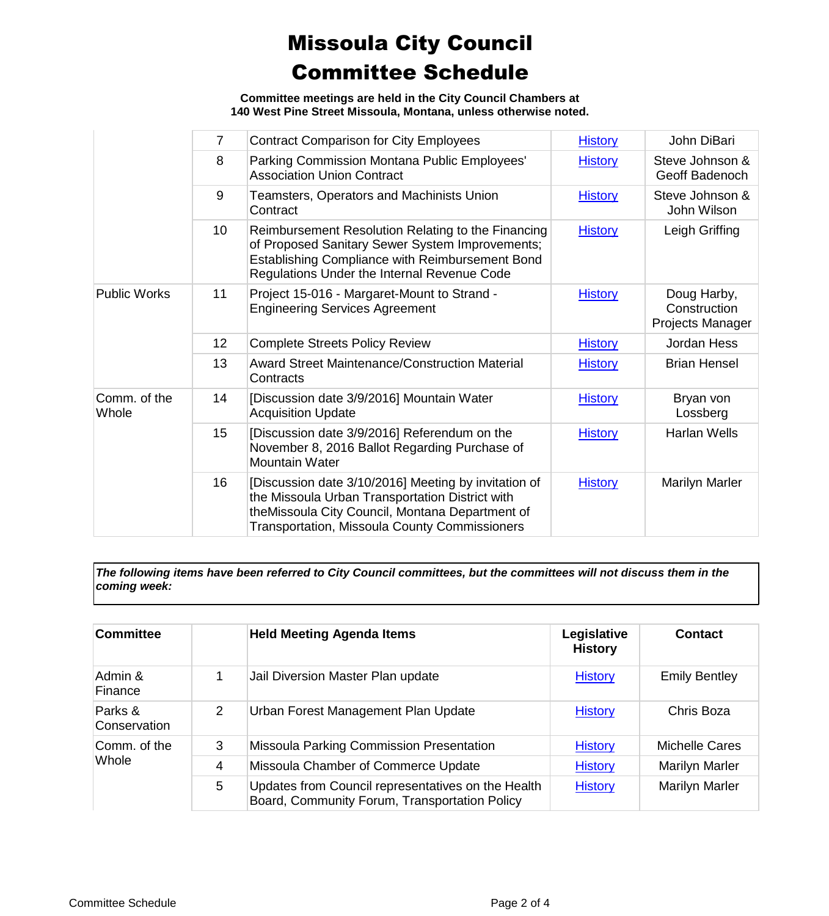**Committee meetings are held in the City Council Chambers at 140 West Pine Street Missoula, Montana, unless otherwise noted.**

|                       | $\overline{7}$  | <b>Contract Comparison for City Employees</b>                                                                                                                                                                      | <b>History</b> | John DiBari                                     |
|-----------------------|-----------------|--------------------------------------------------------------------------------------------------------------------------------------------------------------------------------------------------------------------|----------------|-------------------------------------------------|
|                       | 8               | Parking Commission Montana Public Employees'<br><b>Association Union Contract</b>                                                                                                                                  | <b>History</b> | Steve Johnson &<br>Geoff Badenoch               |
|                       | 9               | Teamsters, Operators and Machinists Union<br>Contract                                                                                                                                                              | <b>History</b> | Steve Johnson &<br>John Wilson                  |
|                       | 10              | Reimbursement Resolution Relating to the Financing<br>of Proposed Sanitary Sewer System Improvements;<br>Establishing Compliance with Reimbursement Bond<br>Regulations Under the Internal Revenue Code            | <b>History</b> | Leigh Griffing                                  |
| <b>Public Works</b>   | 11              | Project 15-016 - Margaret-Mount to Strand -<br><b>Engineering Services Agreement</b>                                                                                                                               | <b>History</b> | Doug Harby,<br>Construction<br>Projects Manager |
|                       | 12 <sup>2</sup> | <b>Complete Streets Policy Review</b>                                                                                                                                                                              | <b>History</b> | Jordan Hess                                     |
|                       | 13              | <b>Award Street Maintenance/Construction Material</b><br>Contracts                                                                                                                                                 | <b>History</b> | <b>Brian Hensel</b>                             |
| Comm. of the<br>Whole | 14              | [Discussion date 3/9/2016] Mountain Water<br><b>Acquisition Update</b>                                                                                                                                             | <b>History</b> | Bryan von<br>Lossberg                           |
|                       | 15              | [Discussion date 3/9/2016] Referendum on the<br>November 8, 2016 Ballot Regarding Purchase of<br><b>Mountain Water</b>                                                                                             | <b>History</b> | Harlan Wells                                    |
|                       | 16              | [Discussion date 3/10/2016] Meeting by invitation of<br>the Missoula Urban Transportation District with<br>theMissoula City Council, Montana Department of<br><b>Transportation, Missoula County Commissioners</b> | <b>History</b> | <b>Marilyn Marler</b>                           |

*The following items have been referred to City Council committees, but the committees will not discuss them in the coming week:*

| <b>Committee</b>        |   | <b>Held Meeting Agenda Items</b>                                                                    | Legislative<br><b>History</b> | <b>Contact</b>        |
|-------------------------|---|-----------------------------------------------------------------------------------------------------|-------------------------------|-----------------------|
| Admin &<br>Finance      |   | Jail Diversion Master Plan update                                                                   | <b>History</b>                | <b>Emily Bentley</b>  |
| Parks &<br>Conservation | 2 | Urban Forest Management Plan Update                                                                 | <b>History</b>                | Chris Boza            |
| Comm. of the<br>Whole   | 3 | Missoula Parking Commission Presentation                                                            | <b>History</b>                | <b>Michelle Cares</b> |
|                         | 4 | Missoula Chamber of Commerce Update                                                                 | <b>History</b>                | Marilyn Marler        |
|                         | 5 | Updates from Council representatives on the Health<br>Board, Community Forum, Transportation Policy | <b>History</b>                | Marilyn Marler        |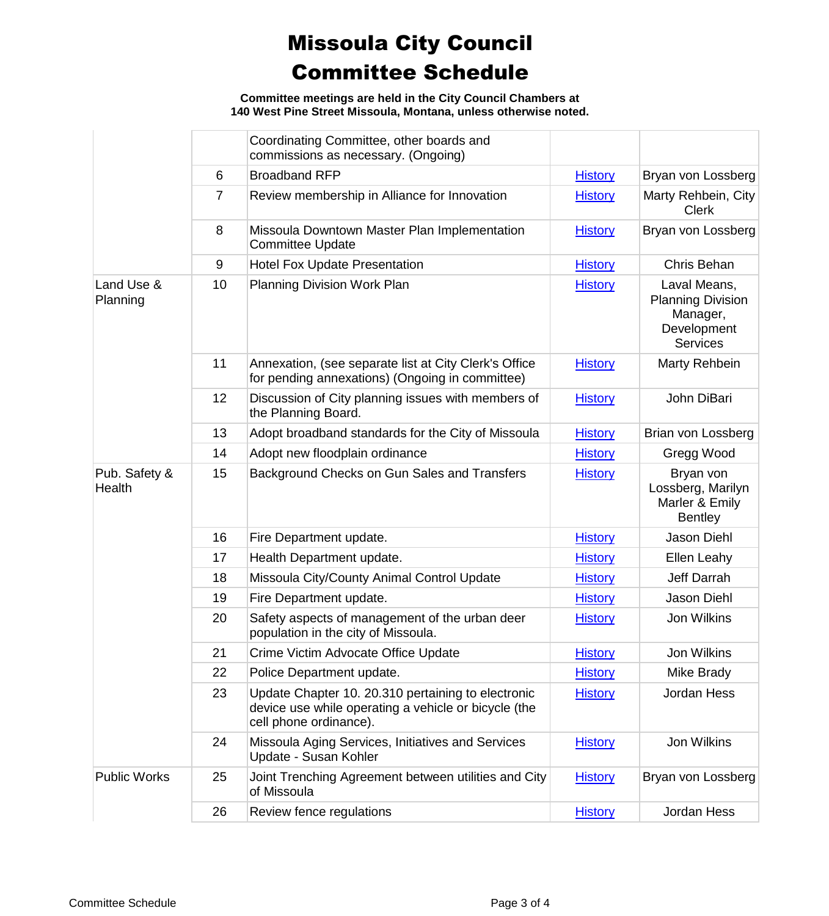**Committee meetings are held in the City Council Chambers at 140 West Pine Street Missoula, Montana, unless otherwise noted.**

|                         |                | Coordinating Committee, other boards and<br>commissions as necessary. (Ongoing)                                                      |                |                                                                                        |
|-------------------------|----------------|--------------------------------------------------------------------------------------------------------------------------------------|----------------|----------------------------------------------------------------------------------------|
|                         | 6              | <b>Broadband RFP</b>                                                                                                                 | <b>History</b> | Bryan von Lossberg                                                                     |
|                         | $\overline{7}$ | Review membership in Alliance for Innovation                                                                                         | <b>History</b> | Marty Rehbein, City<br><b>Clerk</b>                                                    |
|                         | 8              | Missoula Downtown Master Plan Implementation<br><b>Committee Update</b>                                                              | <b>History</b> | Bryan von Lossberg                                                                     |
|                         | 9              | <b>Hotel Fox Update Presentation</b>                                                                                                 | <b>History</b> | Chris Behan                                                                            |
| Land Use &<br>Planning  | 10             | Planning Division Work Plan                                                                                                          | <b>History</b> | Laval Means,<br><b>Planning Division</b><br>Manager,<br>Development<br><b>Services</b> |
|                         | 11             | Annexation, (see separate list at City Clerk's Office<br>for pending annexations) (Ongoing in committee)                             | <b>History</b> | Marty Rehbein                                                                          |
|                         | 12             | Discussion of City planning issues with members of<br>the Planning Board.                                                            | <b>History</b> | John DiBari                                                                            |
|                         | 13             | Adopt broadband standards for the City of Missoula                                                                                   | <b>History</b> | Brian von Lossberg                                                                     |
|                         | 14             | Adopt new floodplain ordinance                                                                                                       | <b>History</b> | Gregg Wood                                                                             |
| Pub. Safety &<br>Health | 15             | Background Checks on Gun Sales and Transfers                                                                                         | <b>History</b> | Bryan von<br>Lossberg, Marilyn<br>Marler & Emily<br><b>Bentley</b>                     |
|                         | 16             | Fire Department update.                                                                                                              | <b>History</b> | Jason Diehl                                                                            |
|                         | 17             | Health Department update.                                                                                                            | <b>History</b> | Ellen Leahy                                                                            |
|                         | 18             | Missoula City/County Animal Control Update                                                                                           | <b>History</b> | Jeff Darrah                                                                            |
|                         | 19             | Fire Department update.                                                                                                              | <b>History</b> | Jason Diehl                                                                            |
|                         | 20             | Safety aspects of management of the urban deer<br>population in the city of Missoula.                                                | <b>History</b> | <b>Jon Wilkins</b>                                                                     |
|                         | 21             | Crime Victim Advocate Office Update                                                                                                  | <b>History</b> | Jon Wilkins                                                                            |
|                         | 22             | Police Department update.                                                                                                            | <b>History</b> | Mike Brady                                                                             |
|                         | 23             | Update Chapter 10. 20.310 pertaining to electronic<br>device use while operating a vehicle or bicycle (the<br>cell phone ordinance). | <b>History</b> | Jordan Hess                                                                            |
|                         | 24             | Missoula Aging Services, Initiatives and Services<br>Update - Susan Kohler                                                           | <b>History</b> | Jon Wilkins                                                                            |
| <b>Public Works</b>     | 25             | Joint Trenching Agreement between utilities and City<br>of Missoula                                                                  | <b>History</b> | Bryan von Lossberg                                                                     |
|                         | 26             | Review fence regulations                                                                                                             | <b>History</b> | Jordan Hess                                                                            |